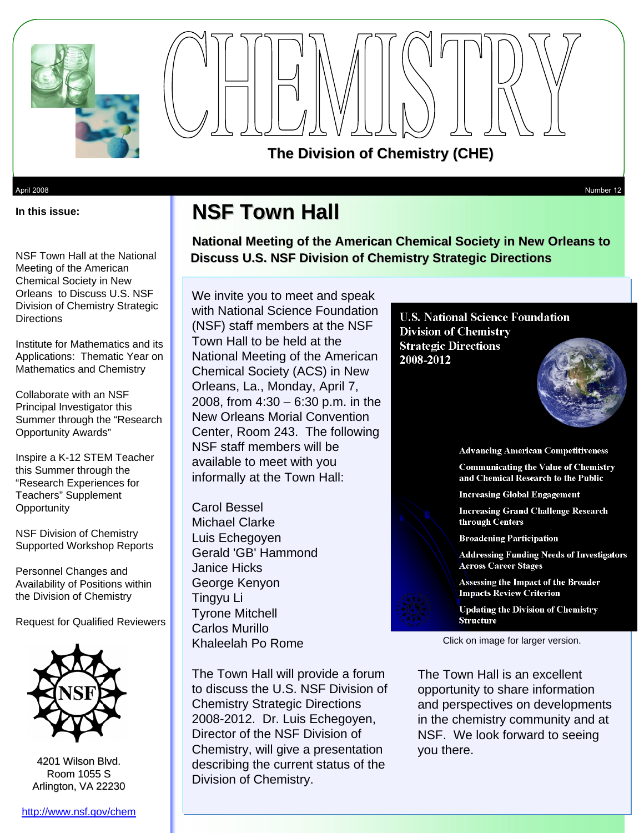



April 2008 Number 12

**In this issue:** 

**NSF Town Hall** 

**National Meeting of the American Chemical Society in New Orleans to Discuss U.S. NSF Division of Chemistry Strategic Directions** 

NSF Town Hall at the National Meeting of the American Chemical Society in New Orleans to Discuss U.S. NSF Division of Chemistry Strategic **Directions** 

Institute for Mathematics and its Applications: Thematic Year on Mathematics and Chemistry

 Collaborate with an NSF Principal Investigator this Summer through the "Research Opportunity Awards"

Inspire a K-12 STEM Teacher this Summer through the "Research Experiences for Teachers" Supplement **Opportunity** 

NSF Division of Chemistry Supported Workshop Reports

Personnel Changes and Availability of Positions within the Division of Chemistry

Request for Qualified Reviewers



4201 Wilson Blvd. Room 1055 S Arlington, VA 22230

We invite you to meet and speak with National Science Foundation (NSF) staff members at the NSF Town Hall to be held at the National Meeting of the American Chemical Society (ACS) in New Orleans, La., Monday, April 7, 2008, from 4:30 – 6:30 p.m. in the New Orleans Morial Convention Center, Room 243. The following NSF staff members will be available to meet with you informally at the Town Hall:

Carol Bessel Michael Clarke Luis Echegoyen Gerald 'GB' Hammond Janice Hicks George Kenyon Tingyu Li Tyrone Mitchell Carlos Murillo Khaleelah Po Rome

The Town Hall will provide a forum to discuss the U.S. NSF Division of Chemistry Strategic Directions 2008-2012. Dr. Luis Echegoyen, Director of the NSF Division of Chemistry, will give a presentation describing the current status of the Division of Chemistry.

**U.S. National Science Foundation Division of Chemistry Strategic Directions** 2008-2012



**Advancing American Competitiveness** 

**Communicating the Value of Chemistry** and Chemical Research to the Public

**Increasing Global Engagement** 

**Increasing Grand Challenge Research** through Centers

**Broadening Participation** 

**Addressing Funding Needs of Investigators Across Career Stages** 

Assessing the Impact of the Broader **Impacts Review Criterion** 

**Updating the Division of Chemistry Structure** 

Click on image for larger version.

The Town Hall is an excellent opportunity to share information and perspectives on developments in the chemistry community and at NSF. We look forward to seeing you there.

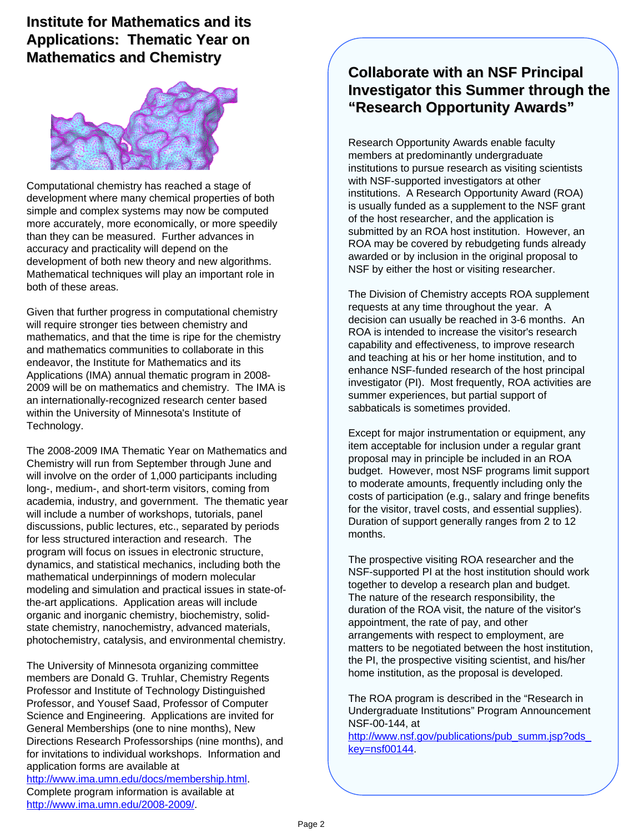### **Institute for Mathematics and its Applications: Thematic Year on Mathematics and Chemistry**



development of both new theory and new algorithms. Computational chemistry has reached a stage of development where many chemical properties of both simple and complex systems may now be computed more accurately, more economically, or more speedily than they can be measured. Further advances in accuracy and practicality will depend on the Mathematical techniques will play an important role in both of these areas.

 Applications (IMA) annual thematic program in 2008- an internationally-recognized research center based Given that further progress in computational chemistry will require stronger ties between chemistry and mathematics, and that the time is ripe for the chemistry and mathematics communities to collaborate in this endeavor, the Institute for Mathematics and its 2009 will be on mathematics and chemistry. The IMA is within the University of Minnesota's Institute of Technology.

 dynamics, and statistical mechanics, including both the mathematical underpinnings of modern molecular the-art applications. Application areas will include The 2008-2009 IMA Thematic Year on Mathematics and Chemistry will run from September through June and will involve on the order of 1,000 participants including long-, medium-, and short-term visitors, coming from academia, industry, and government. The thematic year will include a number of workshops, tutorials, panel discussions, public lectures, etc., separated by periods for less structured interaction and research. The program will focus on issues in electronic structure, modeling and simulation and practical issues in state-oforganic and inorganic chemistry, biochemistry, solidstate chemistry, nanochemistry, advanced materials, photochemistry, catalysis, and environmental chemistry.

 The University of Minnesota organizing committee members are Donald G. Truhlar, Chemistry Regents Professor, and Yousef Saad, Professor of Computer Directions Research Professorships (nine months), and Professor and Institute of Technology Distinguished Science and Engineering. Applications are invited for General Memberships (one to nine months), New for invitations to individual workshops. Information and application forms are available at [http://www.ima.umn.edu/docs/membership.html.](http://www.ima.umn.edu/docs/membership.html)  Complete program information is available at [http://www.ima.umn.edu/2008-2009/.](http://www.ima.umn.edu/2008-2009/) 

### **Collaborate with an NSF Principal Investigator this Summer through the "Research Opportunity Research Opportunity Awards"**

 institutions to pursue research as visiting scientists is usually funded as a supplement to the NSF grant awarded or by inclusion in the original proposal to Research Opportunity Awards enable faculty members at predominantly undergraduate with NSF-supported investigators at other institutions. A Research Opportunity Award (ROA) of the host researcher, and the application is submitted by an ROA host institution. However, an ROA may be covered by rebudgeting funds already NSF by either the host or visiting researcher.

 requests at any time throughout the year. A investigator (PI). Most frequently, ROA activities are The Division of Chemistry accepts ROA supplement decision can usually be reached in 3-6 months. An ROA is intended to increase the visitor's research capability and effectiveness, to improve research and teaching at his or her home institution, and to enhance NSF-funded research of the host principal summer experiences, but partial support of sabbaticals is sometimes provided.

 item acceptable for inclusion under a regular grant budget. However, most NSF programs limit support to moderate amounts, frequently including only the for the visitor, travel costs, and essential supplies). Except for major instrumentation or equipment, any proposal may in principle be included in an ROA costs of participation (e.g., salary and fringe benefits Duration of support generally ranges from 2 to 12 months.

 duration of the ROA visit, the nature of the visitor's matters to be negotiated between the host institution, The prospective visiting ROA researcher and the NSF-supported PI at the host institution should work together to develop a research plan and budget. The nature of the research responsibility, the appointment, the rate of pay, and other arrangements with respect to employment, are the PI, the prospective visiting scientist, and his/her home institution, as the proposal is developed.

The ROA program is described in the "Research in Undergraduate Institutions" Program Announcement NSF-00-144, at

http://www.nsf.gov/publications/pub\_summ.jsp?ods key=nsf00144.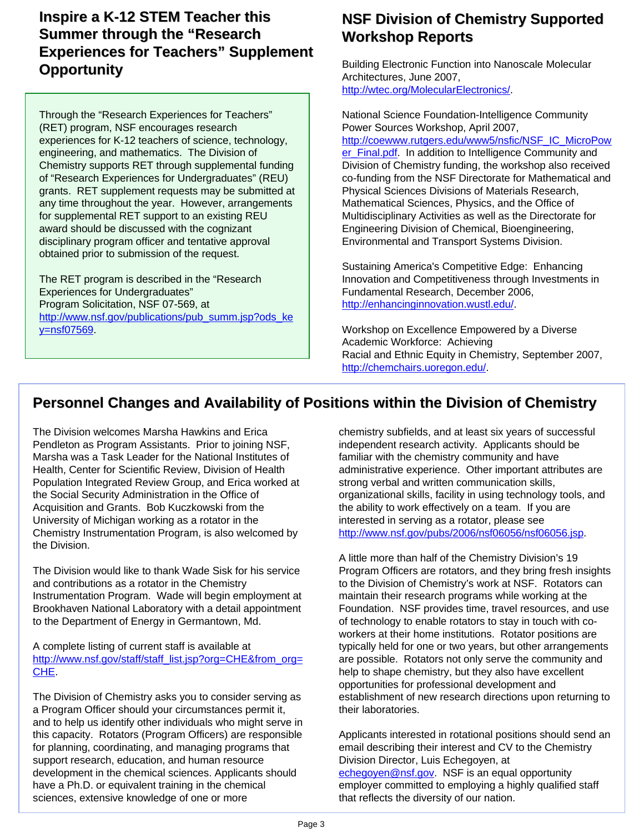#### **Inspire a K-12 STEM Teacher this Summer through the "Research Experiences for Teachers" Supplement Opportunity**

 grants. RET supplement requests may be submitted at for supplemental RET support to an existing REU Through the "Research Experiences for Teachers" (RET) program, NSF encourages research experiences for K-12 teachers of science, technology, engineering, and mathematics. The Division of Chemistry supports RET through supplemental funding of "Research Experiences for Undergraduates" (REU) any time throughout the year. However, arrangements award should be discussed with the cognizant disciplinary program officer and tentative approval obtained prior to submission of the request.

 Program Solicitation, NSF 07-569, at The RET program is described in the "Research Experiences for Undergraduates" http://www.nsf.gov/publications/pub\_summ.jsp?ods\_ke y=nsf07569.

#### **NSF Division of Chemistry Supported Workshop Reports Reports**

Building Electronic Function into Nanoscale Molecular Architectures, June 2007, [http://wtec.org/MolecularElectronics/.](http://wtec.org/MolecularElectronics/) 

 Division of Chemistry funding, the workshop also received National Science Foundation-Intelligence Community Power Sources Workshop, April 2007, [http://coewww.rutgers.edu/www5/nsfic/NSF\\_IC\\_MicroPow](http://coewww.rutgers.edu/www5/nsfic/NSF_IC_MicroPower_Final.pdf)  er\_Final.pdf. In addition to Intelligence Community and co-funding from the NSF Directorate for Mathematical and Physical Sciences Divisions of Materials Research, Mathematical Sciences, Physics, and the Office of Multidisciplinary Activities as well as the Directorate for Engineering Division of Chemical, Bioengineering, Environmental and Transport Systems Division.

 Innovation and Competitiveness through Investments in Sustaining America's Competitive Edge: Enhancing Fundamental Research, December 2006, [http://enhancinginnovation.wustl.edu/.](http://enhancinginnovation.wustl.edu/)

 Workshop on Excellence Empowered by a Diverse Academic Workforce: Achieving Racial and Ethnic Equity in Chemistry, September 2007, [http://chemchairs.uoregon.edu/.](http://chemchairs.uoregon.edu/)

## **Personnel Changes and Availability of Positions within the Division of Chemistry**

Marsha was a Task Leader for the National Institutes of familiar with the chemistry community and have University of Michigan working as a rotator in the interested in serving as a rotator, please see The Division welcomes Marsha Hawkins and Erica chemistry subfields, and at least six years of successful Pendleton as Program Assistants. Prior to joining NSF, independent research activity. Applicants should be Health, Center for Scientific Review, Division of Health and ministrative experience. Other important attributes are Population Integrated Review Group, and Erica worked at strong verbal and written communication skills, the Social Security Administration in the Office of organizational skills, facility in using technology tools, and Acquisition and Grants. Bob Kuczkowski from the the the ability to work effectively on a team. If you are Chemistry Instrumentation Program, is also welcomed by http://www.nsf.gov/pubs/2006/nsf06056/nsf06056.jsp. the Division.

The Division would like to thank Wade Sisk for his service and contributions as a rotator in the Chemistry to the Division of Chemistry's work at NSF. Rotators can Instrumentation Program. Wade will begin employment at to the Department of Energy in Germantown, Md. of technology to enable rotators to stay in touch with co-

A complete listing of current staff is available at typically held for one or two years, but other arrangements [http://www.nsf.gov/staff/staff\\_list.jsp?org=CHE&from\\_org=](http://www.nsf.gov/staff/staff_list.jsp?org=CHE&from_org=) are possible. Rotators not only serve the community and<br>CHE. chape chemistry, but they also have excellent

The Division of Chemistry asks you to consider serving as and to help us identify other individuals who might serve in this capacity. Rotators (Program Officers) are responsible support research, education, and human resource **Division Director**, Luis Echegoyen, at sciences, extensive knowledge of one or more that reflects the diversity of our nation. a Program Officer should your circumstances permit it, their laboratories. for planning, coordinating, and managing programs that email describing their interest and CV to the Chemistry development in the chemical sciences. Applicants should [echegoyen@nsf.gov.](mailto:echegoyen@nsf.gov) NSF is an equal opportunity have a Ph.D. or equivalent training in the chemical employer committed to employing a highly qualified staff

 A little more than half of the Chemistry Division's 19 maintain their research programs while working at the Brookhaven National Laboratory with a detail appointment Foundation. NSF provides time, travel resources, and use The Division of Chemistry asks you to consider serving as establishment of new research directions upon returning to Program Officers are rotators, and they bring fresh insights workers at their home institutions. Rotator positions are help to shape chemistry, but they also have excellent opportunities for professional development and

Applicants interested in rotational positions should send an